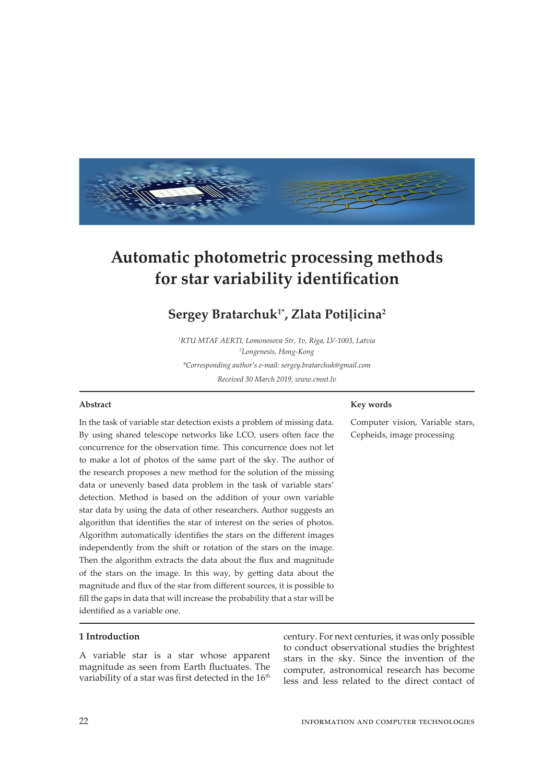

# **Automatic photometric processing methods for star variability identification**

# **Sergey Bratarchuk1\*, Zlata Potiļicina<sup>2</sup>**

*1 RTU MTAF AERTI, Lomonosova Str, 1v, Riga, LV-1003, Latvia 2 Longenesis, Hong-Kong \*Corresponding author's e-mail: sergey.bratarchuk@gmail.com Received 30 March 2019, www.cmnt.lv*

#### **Abstract**

#### **Key words**

Computer vision, Variable stars, Cepheids, image processing

In the task of variable star detection exists a problem of missing data. By using shared telescope networks like LCO, users often face the concurrence for the observation time. This concurrence does not let to make a lot of photos of the same part of the sky. The author of the research proposes a new method for the solution of the missing data or unevenly based data problem in the task of variable stars' detection. Method is based on the addition of your own variable star data by using the data of other researchers. Author suggests an algorithm that identifies the star of interest on the series of photos. Algorithm automatically identifies the stars on the different images independently from the shift or rotation of the stars on the image. Then the algorithm extracts the data about the flux and magnitude of the stars on the image. In this way, by getting data about the magnitude and flux of the star from different sources, it is possible to fill the gaps in data that will increase the probability that a star will be identified as a variable one.

#### **1 Introduction**

A variable star is a star whose apparent magnitude as seen from Earth fluctuates. The variability of a star was first detected in the  $16<sup>th</sup>$ 

century. For next centuries, it was only possible to conduct observational studies the brightest stars in the sky. Since the invention of the computer, astronomical research has become less and less related to the direct contact of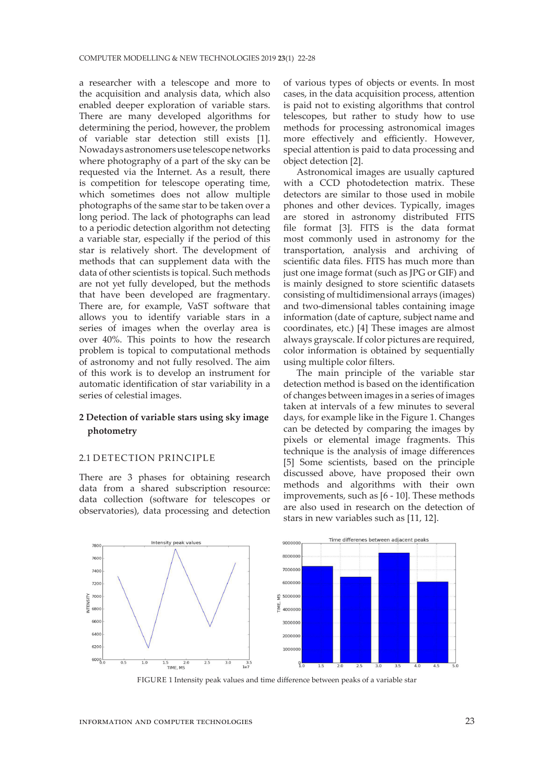a researcher with a telescope and more to the acquisition and analysis data, which also enabled deeper exploration of variable stars. There are many developed algorithms for determining the period, however, the problem of variable star detection still exists [1]. Nowadays astronomers use telescope networks where photography of a part of the sky can be requested via the Internet. As a result, there is competition for telescope operating time, which sometimes does not allow multiple photographs of the same star to be taken over a long period. The lack of photographs can lead to a periodic detection algorithm not detecting a variable star, especially if the period of this star is relatively short. The development of methods that can supplement data with the data of other scientists is topical. Such methods are not yet fully developed, but the methods that have been developed are fragmentary. There are, for example, VaST software that allows you to identify variable stars in a series of images when the overlay area is over 40%. This points to how the research problem is topical to computational methods of astronomy and not fully resolved. The aim of this work is to develop an instrument for automatic identification of star variability in a series of celestial images.

# **2 Detection of variable stars using sky image photometry**

#### 2.1 DETECTION PRINCIPLE

There are 3 phases for obtaining research data from a shared subscription resource: data collection (software for telescopes or observatories), data processing and detection of various types of objects or events. In most cases, in the data acquisition process, attention is paid not to existing algorithms that control telescopes, but rather to study how to use methods for processing astronomical images more effectively and efficiently. However, special attention is paid to data processing and object detection [2].

Astronomical images are usually captured with a CCD photodetection matrix. These detectors are similar to those used in mobile phones and other devices. Typically, images are stored in astronomy distributed FITS file format [3]. FITS is the data format most commonly used in astronomy for the transportation, analysis and archiving of scientific data files. FITS has much more than just one image format (such as JPG or GIF) and is mainly designed to store scientific datasets consisting of multidimensional arrays (images) and two-dimensional tables containing image information (date of capture, subject name and coordinates, etc.) [4] These images are almost always grayscale. If color pictures are required, color information is obtained by sequentially using multiple color filters.

The main principle of the variable star detection method is based on the identification of changes between images in a series of images taken at intervals of a few minutes to several days, for example like in the Figure 1. Changes can be detected by comparing the images by pixels or elemental image fragments. This technique is the analysis of image differences [5] Some scientists, based on the principle discussed above, have proposed their own methods and algorithms with their own improvements, such as [6 - 10]. These methods are also used in research on the detection of stars in new variables such as [11, 12].



FIGURE 1 Intensity peak values and time difference between peaks of a variable star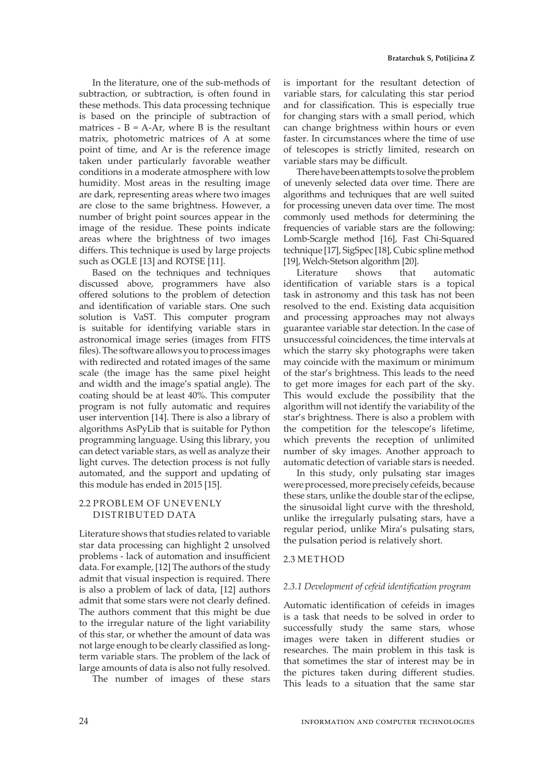In the literature, one of the sub-methods of subtraction, or subtraction, is often found in these methods. This data processing technique is based on the principle of subtraction of matrices -  $B = A-Ar$ , where B is the resultant matrix, photometric matrices of A at some point of time, and Ar is the reference image taken under particularly favorable weather conditions in a moderate atmosphere with low humidity. Most areas in the resulting image are dark, representing areas where two images are close to the same brightness. However, a number of bright point sources appear in the image of the residue. These points indicate areas where the brightness of two images differs. This technique is used by large projects such as OGLE [13] and ROTSE [11].

Based on the techniques and techniques discussed above, programmers have also offered solutions to the problem of detection and identification of variable stars. One such solution is VaST. This computer program is suitable for identifying variable stars in astronomical image series (images from FITS files). The software allows you to process images with redirected and rotated images of the same scale (the image has the same pixel height and width and the image's spatial angle). The coating should be at least 40%. This computer program is not fully automatic and requires user intervention [14]. There is also a library of algorithms AsPyLib that is suitable for Python programming language. Using this library, you can detect variable stars, as well as analyze their light curves. The detection process is not fully automated, and the support and updating of this module has ended in 2015 [15].

#### 2.2 PROBLEM OF UNEVENLY DISTRIBUTED DATA

Literature shows that studies related to variable star data processing can highlight 2 unsolved problems - lack of automation and insufficient data. For example, [12] The authors of the study admit that visual inspection is required. There is also a problem of lack of data, [12] authors admit that some stars were not clearly defined. The authors comment that this might be due to the irregular nature of the light variability of this star, or whether the amount of data was not large enough to be clearly classified as longterm variable stars. The problem of the lack of large amounts of data is also not fully resolved.

The number of images of these stars

is important for the resultant detection of variable stars, for calculating this star period and for classification. This is especially true for changing stars with a small period, which can change brightness within hours or even faster. In circumstances where the time of use of telescopes is strictly limited, research on variable stars may be difficult.

There have been attempts to solve the problem of unevenly selected data over time. There are algorithms and techniques that are well suited for processing uneven data over time. The most commonly used methods for determining the frequencies of variable stars are the following: Lomb-Scargle method [16], Fast Chi-Squared technique [17], SigSpec [18], Cubic spline method [19], Welch-Stetson algorithm [20].

Literature shows that automatic identification of variable stars is a topical task in astronomy and this task has not been resolved to the end. Existing data acquisition and processing approaches may not always guarantee variable star detection. In the case of unsuccessful coincidences, the time intervals at which the starry sky photographs were taken may coincide with the maximum or minimum of the star's brightness. This leads to the need to get more images for each part of the sky. This would exclude the possibility that the algorithm will not identify the variability of the star's brightness. There is also a problem with the competition for the telescope's lifetime, which prevents the reception of unlimited number of sky images. Another approach to automatic detection of variable stars is needed.

In this study, only pulsating star images were processed, more precisely cefeids, because these stars, unlike the double star of the eclipse, the sinusoidal light curve with the threshold, unlike the irregularly pulsating stars, have a regular period, unlike Mira's pulsating stars, the pulsation period is relatively short.

#### 2.3 METHOD

#### *2.3.1 Development of cefeid identification program*

Automatic identification of cefeids in images is a task that needs to be solved in order to successfully study the same stars, whose images were taken in different studies or researches. The main problem in this task is that sometimes the star of interest may be in the pictures taken during different studies. This leads to a situation that the same star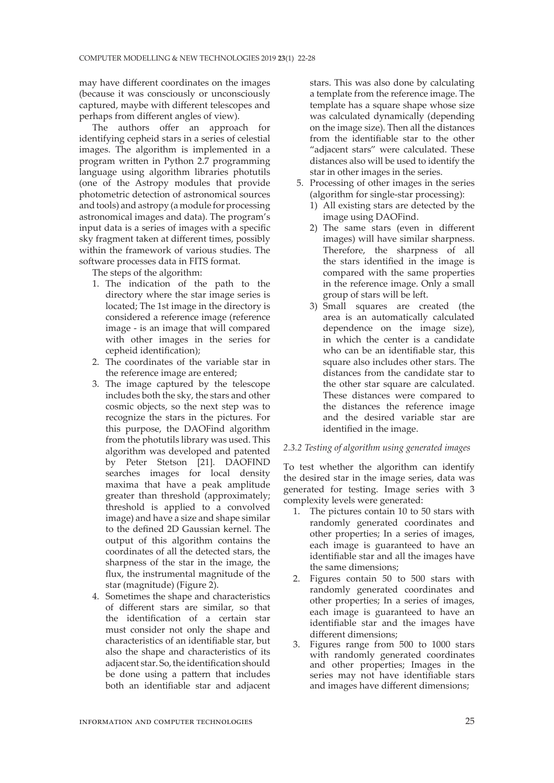may have different coordinates on the images (because it was consciously or unconsciously captured, maybe with different telescopes and perhaps from different angles of view).

The authors offer an approach for identifying cepheid stars in a series of celestial images. The algorithm is implemented in a program written in Python 2.7 programming language using algorithm libraries photutils (one of the Astropy modules that provide photometric detection of astronomical sources and tools) and astropy (a module for processing astronomical images and data). The program's input data is a series of images with a specific sky fragment taken at different times, possibly within the framework of various studies. The software processes data in FITS format.

The steps of the algorithm:

- 1. The indication of the path to the directory where the star image series is located; The 1st image in the directory is considered a reference image (reference image - is an image that will compared with other images in the series for cepheid identification);
- 2. The coordinates of the variable star in the reference image are entered;
- 3. The image captured by the telescope includes both the sky, the stars and other cosmic objects, so the next step was to recognize the stars in the pictures. For this purpose, the DAOFind algorithm from the photutils library was used. This algorithm was developed and patented by Peter Stetson [21]. DAOFIND searches images for local density maxima that have a peak amplitude greater than threshold (approximately; threshold is applied to a convolved image) and have a size and shape similar to the defined 2D Gaussian kernel. The output of this algorithm contains the coordinates of all the detected stars, the sharpness of the star in the image, the flux, the instrumental magnitude of the star (magnitude) (Figure 2).
- 4. Sometimes the shape and characteristics of different stars are similar, so that the identification of a certain star must consider not only the shape and characteristics of an identifiable star, but also the shape and characteristics of its adjacent star. So, the identification should be done using a pattern that includes both an identifiable star and adjacent

stars. This was also done by calculating a template from the reference image. The template has a square shape whose size was calculated dynamically (depending on the image size). Then all the distances from the identifiable star to the other "adjacent stars" were calculated. These distances also will be used to identify the star in other images in the series.

- 5. Processing of other images in the series (algorithm for single-star processing):
	- 1) All existing stars are detected by the image using DAOFind.
	- 2) The same stars (even in different images) will have similar sharpness. Therefore, the sharpness of all the stars identified in the image is compared with the same properties in the reference image. Only a small group of stars will be left.
	- 3) Small squares are created (the area is an automatically calculated dependence on the image size), in which the center is a candidate who can be an identifiable star, this square also includes other stars. The distances from the candidate star to the other star square are calculated. These distances were compared to the distances the reference image and the desired variable star are identified in the image.

## *2.3.2 Testing of algorithm using generated images*

To test whether the algorithm can identify the desired star in the image series, data was generated for testing. Image series with 3 complexity levels were generated:

- 1. The pictures contain 10 to 50 stars with randomly generated coordinates and other properties; In a series of images, each image is guaranteed to have an identifiable star and all the images have the same dimensions;
- 2. Figures contain 50 to 500 stars with randomly generated coordinates and other properties; In a series of images, each image is guaranteed to have an identifiable star and the images have different dimensions;
- 3. Figures range from 500 to 1000 stars with randomly generated coordinates and other properties; Images in the series may not have identifiable stars and images have different dimensions;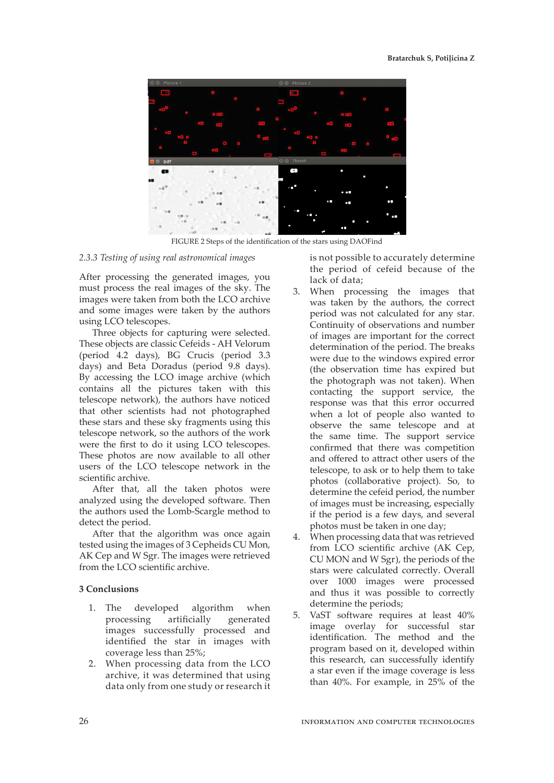

FIGURE 2 Steps of the identification of the stars using DAOFind

#### *2.3.3 Testing of using real astronomical images*

After processing the generated images, you must process the real images of the sky. The images were taken from both the LCO archive and some images were taken by the authors using LCO telescopes.

Three objects for capturing were selected. These objects are classic Cefeids - AH Velorum (period 4.2 days), BG Crucis (period 3.3 days) and Beta Doradus (period 9.8 days). By accessing the LCO image archive (which contains all the pictures taken with this telescope network), the authors have noticed that other scientists had not photographed these stars and these sky fragments using this telescope network, so the authors of the work were the first to do it using LCO telescopes. These photos are now available to all other users of the LCO telescope network in the scientific archive.

After that, all the taken photos were analyzed using the developed software. Then the authors used the Lomb-Scargle method to detect the period.

After that the algorithm was once again tested using the images of 3 Cepheids CU Mon, AK Cep and W Sgr. The images were retrieved from the LCO scientific archive.

#### **3 Conclusions**

- 1. The developed algorithm when processing artificially generated images successfully processed and identified the star in images with coverage less than 25%;
- 2. When processing data from the LCO archive, it was determined that using data only from one study or research it

is not possible to accurately determine the period of cefeid because of the lack of data;

- 3. When processing the images that was taken by the authors, the correct period was not calculated for any star. Continuity of observations and number of images are important for the correct determination of the period. The breaks were due to the windows expired error (the observation time has expired but the photograph was not taken). When contacting the support service, the response was that this error occurred when a lot of people also wanted to observe the same telescope and at the same time. The support service confirmed that there was competition and offered to attract other users of the telescope, to ask or to help them to take photos (collaborative project). So, to determine the cefeid period, the number of images must be increasing, especially if the period is a few days, and several photos must be taken in one day;
- 4. When processing data that was retrieved from LCO scientific archive (AK Cep, CU MON and W Sgr), the periods of the stars were calculated correctly. Overall over 1000 images were processed and thus it was possible to correctly determine the periods;
- 5. VaST software requires at least 40% image overlay for successful star identification. The method and the program based on it, developed within this research, can successfully identify a star even if the image coverage is less than 40%. For example, in 25% of the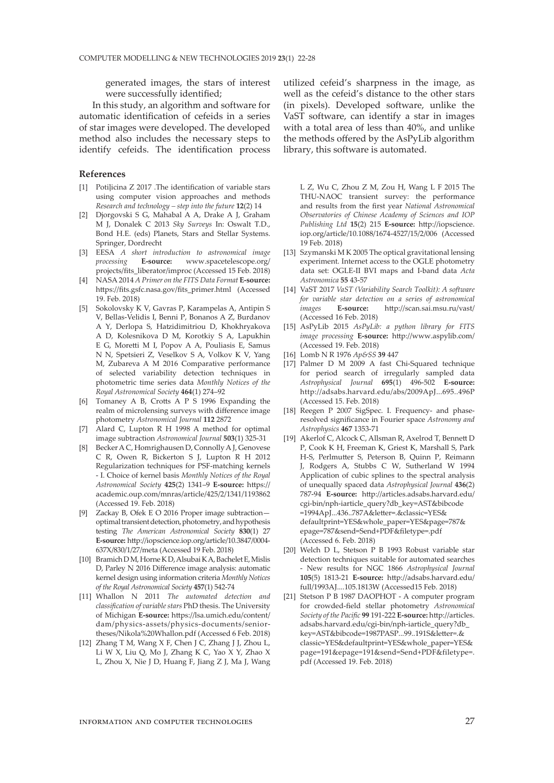generated images, the stars of interest were successfully identified;

In this study, an algorithm and software for automatic identification of cefeids in a series of star images were developed. The developed method also includes the necessary steps to identify cefeids. The identification process

#### **References**

- [1] Potiļicina Z 2017 .The identification of variable stars using computer vision approaches and methods *Research and technology – step into the future* **12**(2) 14
- [2] Djorgovski S G, Mahabal A A, Drake A J, Graham M J, Donalek C 2013 *Sky Surveys* In: Oswalt T.D., Bond H.E. (eds) Planets, Stars and Stellar Systems. Springer, Dordrecht
- [3] EESA *A short introduction to astronomical image processing* **E-source:** www.spacetelescope.org/ projects/fits\_liberator/improc (Accessed 15 Feb. 2018)
- [4] NASA 2014 *A Primer on the FITS Data Format* **E-source:** https://fits.gsfc.nasa.gov/fits\_primer.html (Accessed 19. Feb. 2018)
- [5] Sokolovsky K V, Gavras P, Karampelas A, Antipin S V, Bellas-Velidis I, Benni P, Bonanos A Z, Burdanov A Y, Derlopa S, Hatzidimitriou D, Khokhryakova A D, Kolesnikova D M, Korotkiy S A, Lapukhin E G, Moretti M I, Popov A A, Pouliasis E, Samus N N, Spetsieri Z, Veselkov S A, Volkov K V, Yang M, Zubareva A M 2016 Comparative performance of selected variability detection techniques in photometric time series data *Monthly Notices of the Royal Astronomical Society* **464**(1) 274–92
- [6] Tomaney A B, Crotts A P S 1996 Expanding the realm of microlensing surveys with difference image photometry *Astronomical Journal* **112** 2872
- [7] Alard C, Lupton R H 1998 A method for optimal image subtraction *Astronomical Journal* **503**(1) 325-31
- [8] Becker A C, Homrighausen D, Connolly A J, Genovese C R, Owen R, Bickerton S J, Lupton R H 2012 Regularization techniques for PSF-matching kernels - I. Choice of kernel basis *Monthly Notices of the Royal Astronomical Society* **425**(2) 1341–9 **E-source:** https:// academic.oup.com/mnras/article/425/2/1341/1193862 (Accessed 19. Feb. 2018)
- [9] Zackay B, Ofek E O 2016 Proper image subtraction optimal transient detection, photometry, and hypothesis testing *The American Astronomical Society* **830**(1) 27 **E-source:** http://iopscience.iop.org/article/10.3847/0004- 637X/830/1/27/meta (Accessed 19 Feb. 2018)
- [10] Bramich D M, Horne K D, Alsubai K A, Bachelet E, Mislis D, Parley N 2016 Difference image analysis: automatic kernel design using information criteria *Monthly Notices of the Royal Astronomical Society* **457**(1) 542-74
- [11] Whallon N 2011 *The automated detection and classification of variable stars* PhD thesis. The University of Michigan **E-source:** https://lsa.umich.edu/content/ dam/physics-assets/physics-documents/seniortheses/Nikola%20Whallon.pdf (Accessed 6 Feb. 2018)
- [12] Zhang T M, Wang X F, Chen J C, Zhang J J, Zhou L, Li W X, Liu Q, Mo J, Zhang K C, Yao X Y, Zhao X L, Zhou X, Nie J D, Huang F, Jiang Z J, Ma J, Wang

utilized cefeid's sharpness in the image, as well as the cefeid's distance to the other stars (in pixels). Developed software, unlike the VaST software, can identify a star in images with a total area of less than 40%, and unlike the methods offered by the AsPyLib algorithm library, this software is automated.

L Z, Wu C, Zhou Z M, Zou H, Wang L F 2015 The THU-NAOC transient survey: the performance and results from the first year *National Astronomical Observatories of Chinese Academy of Sciences and IOP Publishing Ltd* **15**(2) 215 **E-source:** http://iopscience. iop.org/article/10.1088/1674-4527/15/2/006 (Accessed 19 Feb. 2018)

- [13] Szymanski M K 2005 The optical gravitational lensing experiment. Internet access to the OGLE photometry data set: OGLE-II BVI maps and I-band data *Acta Astronomica* **55** 43-57
- [14] VaST 2017 *VaST (Variability Search Toolkit): A software for variable star detection on a series of astronomical images* **E-source:** http://scan.sai.msu.ru/vast/ (Accessed 16 Feb. 2018)
- [15] AsPyLib 2015 *AsPyLib: a python library for FITS image processing* **E-source:** http://www.aspylib.com/ (Accessed 19. Feb. 2018)
- [16] Lomb N R 1976 *Ap&SS* **39** 447
- [17] Palmer D M 2009 A fast Chi-Squared technique for period search of irregularly sampled data *Astrophysical Journal* **695**(1) 496-502 **E-source:**  http://adsabs.harvard.edu/abs/2009ApJ...695..496P (Accessed 15. Feb. 2018)
- [18] Reegen P 2007 SigSpec. I. Frequency- and phaseresolved significance in Fourier space *Astronomy and Astrophysics* **467** 1353-71
- [19] Akerlof C, Alcock C, Allsman R, Axelrod T, Bennett D P, Cook K H, Freeman K, Griest K, Marshall S, Park H-S, Perlmutter S, Peterson B, Quinn P, Reimann J, Rodgers A, Stubbs C W, Sutherland W 1994 Application of cubic splines to the spectral analysis of unequally spaced data *Astrophysical Journal* **436**(2) 787-94 **E-source:** http://articles.adsabs.harvard.edu/ cgi-bin/nph-iarticle\_query?db\_key=AST&bibcode =1994ApJ...436..787A&letter=.&classic=YES& defaultprint=YES&whole\_paper=YES&page=787& epage=787&send=Send+PDF&filetype=.pdf (Accessed 6. Feb. 2018)
- [20] Welch D L, Stetson P B 1993 Robust variable star detection techniques suitable for automated searches - New results for NGC 1866 *Astrophysical Journal*  **105**(5) 1813-21 **E-source:** http://adsabs.harvard.edu/ full/1993AJ....105.1813W (Accessed15 Feb. 2018)
- [21] Stetson P B 1987 DAOPHOT A computer program for crowded-field stellar photometry *Astronomical Society of the Pacific* **99** 191-222 **E-source:** http://articles. adsabs.harvard.edu/cgi-bin/nph-iarticle\_query?db\_ key=AST&bibcode=1987PASP...99..191S&letter=.& classic=YES&defaultprint=YES&whole\_paper=YES& page=191&epage=191&send=Send+PDF&filetype=. pdf (Accessed 19. Feb. 2018)